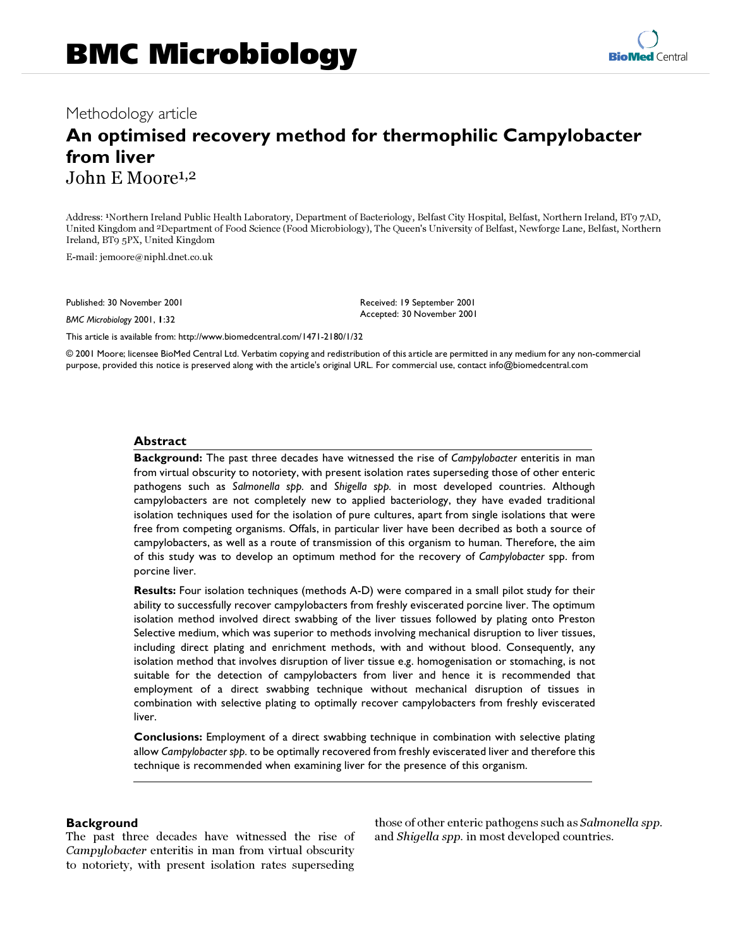# Methodology article

# **An optimised recovery method for thermophilic Campylobacter from liver** John E Moore1,2

Address: 1Northern Ireland Public Health Laboratory, Department of Bacteriology, Belfast City Hospital, Belfast, Northern Ireland, BT9 7AD, United Kingdom and 2Department of Food Science (Food Microbiology), The Queen's University of Belfast, Newforge Lane, Belfast, Northern Ireland, BT9 5PX, United Kingdom

E-mail: jemoore@niphl.dnet.co.uk

Published: 30 November 2001

*BMC Microbiology* 2001, **1**:32

Received: 19 September 2001 Accepted: 30 November 2001

[This article is available from: http://www.biomedcentral.com/1471-2180/1/32](http://www.biomedcentral.com/1471-2180/1/32)

© 2001 Moore; licensee BioMed Central Ltd. Verbatim copying and redistribution of this article are permitted in any medium for any non-commercial purpose, provided this notice is preserved along with the article's original URL. For commercial use, contact info@biomedcentral.com

#### **Abstract**

**Background:** The past three decades have witnessed the rise of *Campylobacter* enteritis in man from virtual obscurity to notoriety, with present isolation rates superseding those of other enteric pathogens such as *Salmonella spp.* and *Shigella spp.* in most developed countries. Although campylobacters are not completely new to applied bacteriology, they have evaded traditional isolation techniques used for the isolation of pure cultures, apart from single isolations that were free from competing organisms. Offals, in particular liver have been decribed as both a source of campylobacters, as well as a route of transmission of this organism to human. Therefore, the aim of this study was to develop an optimum method for the recovery of *Campylobacter* spp. from porcine liver.

**Results:** Four isolation techniques (methods A-D) were compared in a small pilot study for their ability to successfully recover campylobacters from freshly eviscerated porcine liver. The optimum isolation method involved direct swabbing of the liver tissues followed by plating onto Preston Selective medium, which was superior to methods involving mechanical disruption to liver tissues, including direct plating and enrichment methods, with and without blood. Consequently, any isolation method that involves disruption of liver tissue e.g. homogenisation or stomaching, is not suitable for the detection of campylobacters from liver and hence it is recommended that employment of a direct swabbing technique without mechanical disruption of tissues in combination with selective plating to optimally recover campylobacters from freshly eviscerated liver.

**Conclusions:** Employment of a direct swabbing technique in combination with selective plating allow *Campylobacter spp.* to be optimally recovered from freshly eviscerated liver and therefore this technique is recommended when examining liver for the presence of this organism.

# **Background**

The past three decades have witnessed the rise of Campylobacter enteritis in man from virtual obscurity to notoriety, with present isolation rates superseding those of other enteric pathogens such as Salmonella spp. and Shigella spp. in most developed countries.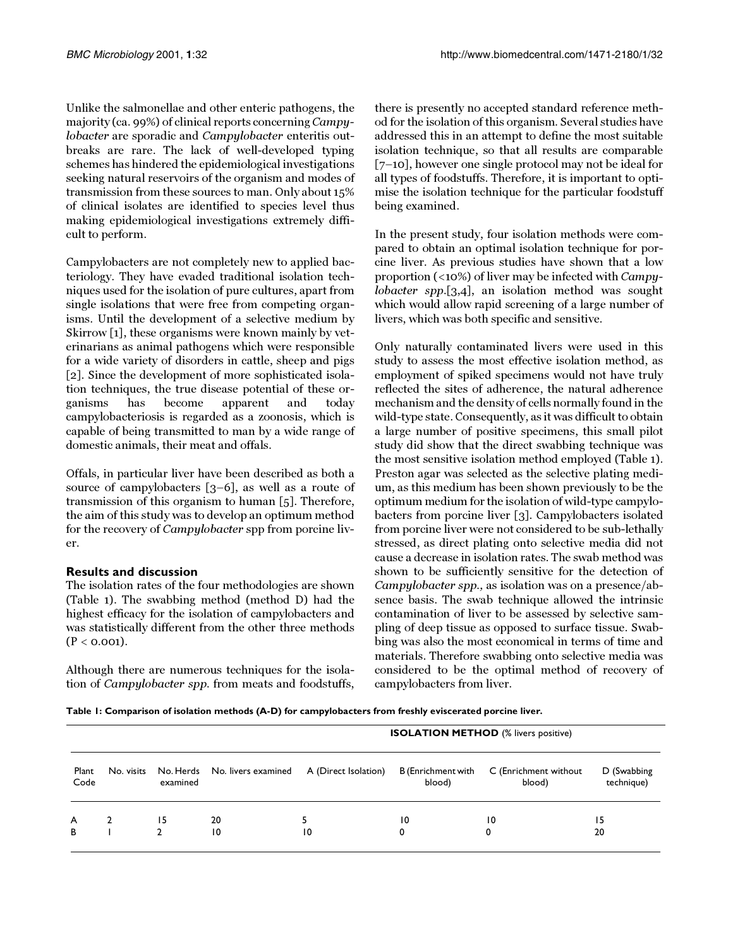Unlike the salmonellae and other enteric pathogens, the majority (ca. 99%) of clinical reports concerning Campylobacter are sporadic and Campylobacter enteritis outbreaks are rare. The lack of well-developed typing schemes has hindered the epidemiological investigations seeking natural reservoirs of the organism and modes of transmission from these sources to man. Only about 15% of clinical isolates are identified to species level thus making epidemiological investigations extremely difficult to perform.

Campylobacters are not completely new to applied bacteriology. They have evaded traditional isolation techniques used for the isolation of pure cultures, apart from single isolations that were free from competing organisms. Until the development of a selective medium by Skirrow [\[1](#page-3-0)], these organisms were known mainly by veterinarians as animal pathogens which were responsible for a wide variety of disorders in cattle, sheep and pigs [[2](#page-3-1)]. Since the development of more sophisticated isolation techniques, the true disease potential of these organisms has become apparent and today campylobacteriosis is regarded as a zoonosis, which is capable of being transmitted to man by a wide range of domestic animals, their meat and offals.

Offals, in particular liver have been described as both a source of campylobacters [\[3](#page-3-2)[–6](#page-3-3)], as well as a route of transmission of this organism to human [[5](#page-3-4)]. Therefore, the aim of this study was to develop an optimum method for the recovery of Campylobacter spp from porcine liver.

# **Results and discussion**

The isolation rates of the four methodologies are shown (Table [1](#page-1-0)). The swabbing method (method D) had the highest efficacy for the isolation of campylobacters and was statistically different from the other three methods  $(P < 0.001)$ .

Although there are numerous techniques for the isolation of Campylobacter spp. from meats and foodstuffs,

there is presently no accepted standard reference method for the isolation of this organism. Several studies have addressed this in an attempt to define the most suitable isolation technique, so that all results are comparable [[7–](#page-3-5)[10](#page-3-6)], however one single protocol may not be ideal for all types of foodstuffs. Therefore, it is important to optimise the isolation technique for the particular foodstuff being examined.

In the present study, four isolation methods were compared to obtain an optimal isolation technique for porcine liver. As previous studies have shown that a low proportion (<10%) of liver may be infected with Campylobacter spp.[[3](#page-3-2),[4](#page-3-7)], an isolation method was sought which would allow rapid screening of a large number of livers, which was both specific and sensitive.

<span id="page-1-0"></span>Only naturally contaminated livers were used in this study to assess the most effective isolation method, as employment of spiked specimens would not have truly reflected the sites of adherence, the natural adherence mechanism and the density of cells normally found in the wild-type state. Consequently, as it was difficult to obtain a large number of positive specimens, this small pilot study did show that the direct swabbing technique was the most sensitive isolation method employed (Table [1\)](#page-1-0). Preston agar was selected as the selective plating medium, as this medium has been shown previously to be the optimum medium for the isolation of wild-type campylobacters from porcine liver [\[3](#page-3-2)]. Campylobacters isolated from porcine liver were not considered to be sub-lethally stressed, as direct plating onto selective media did not cause a decrease in isolation rates. The swab method was shown to be sufficiently sensitive for the detection of Campylobacter spp., as isolation was on a presence/absence basis. The swab technique allowed the intrinsic contamination of liver to be assessed by selective sampling of deep tissue as opposed to surface tissue. Swabbing was also the most economical in terms of time and materials. Therefore swabbing onto selective media was considered to be the optimal method of recovery of campylobacters from liver.

**Table 1: Comparison of isolation methods (A-D) for campylobacters from freshly eviscerated porcine liver.**

| Plant<br>Code | No. visits | No. Herds<br>examined |                     | <b>ISOLATION METHOD</b> (% livers positive) |                              |                                 |                           |
|---------------|------------|-----------------------|---------------------|---------------------------------------------|------------------------------|---------------------------------|---------------------------|
|               |            |                       | No. livers examined | A (Direct Isolation)                        | B (Enrichment with<br>blood) | C (Enrichment without<br>blood) | D (Swabbing<br>technique) |
| A             |            | 15                    | 20                  |                                             | 10                           | 10                              | 15                        |
| В             |            |                       | 10                  | 10                                          |                              | 0                               | 20                        |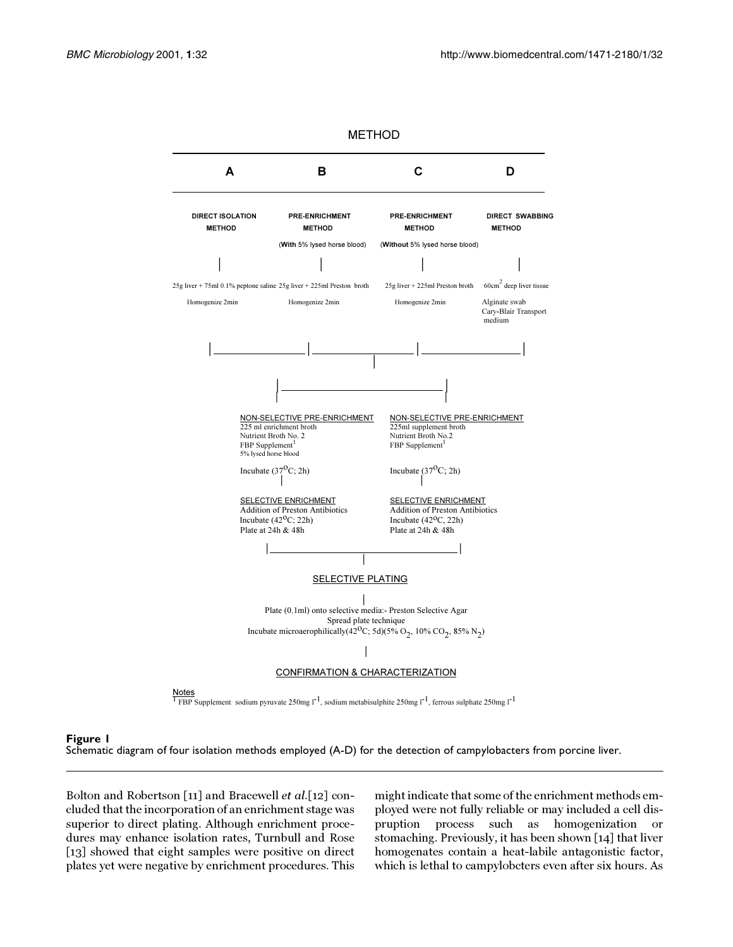

<span id="page-2-0"></span>**Figure 1**

Schematic diagram of four isolation methods employed (A-D) for the detection of campylobacters from porcine liver.

Bolton and Robertson [[11](#page-3-8)] and Bracewell et al.[[12](#page-3-9)] concluded that the incorporation of an enrichment stage was superior to direct plating. Although enrichment procedures may enhance isolation rates, Turnbull and Rose [[13](#page-3-10)] showed that eight samples were positive on direct plates yet were negative by enrichment procedures. This

might indicate that some of the enrichment methods employed were not fully reliable or may included a cell dispruption process such as homogenization or stomaching. Previously, it has been shown [[14\]](#page-3-11) that liver homogenates contain a heat-labile antagonistic factor, which is lethal to campylobcters even after six hours. As